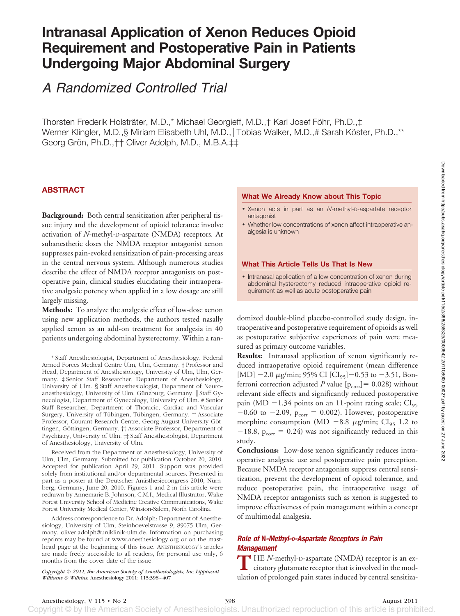# **Intranasal Application of Xenon Reduces Opioid Requirement and Postoperative Pain in Patients Undergoing Major Abdominal Surgery**

*A Randomized Controlled Trial*

Thorsten Frederik Holsträter, M.D.,\* Michael Georgieff, M.D.,† Karl Josef Föhr, Ph.D.,‡ Werner Klingler, M.D.,§ Miriam Elisabeth Uhl, M.D., Tobias Walker, M.D.,# Sarah Köster, Ph.D.,\*\* Georg Grön, Ph.D., † † Oliver Adolph, M.D., M.B.A.‡‡

# **ABSTRACT**

**Background:** Both central sensitization after peripheral tissue injury and the development of opioid tolerance involve activation of *N*-methyl-D-aspartate (NMDA) receptors. At subanesthetic doses the NMDA receptor antagonist xenon suppresses pain-evoked sensitization of pain-processing areas in the central nervous system. Although numerous studies describe the effect of NMDA receptor antagonists on postoperative pain, clinical studies elucidating their intraoperative analgesic potency when applied in a low dosage are still largely missing.

**Methods:** To analyze the analgesic effect of low-dose xenon using new application methods, the authors tested nasally applied xenon as an add-on treatment for analgesia in 40 patients undergoing abdominal hysterectomy. Within a ran-

Received from the Department of Anesthesiology, University of Ulm, Ulm, Germany. Submitted for publication October 20, 2010. Accepted for publication April 29, 2011. Support was provided solely from institutional and/or departmental sources. Presented in part as a poster at the Deutscher Anästhesiecongress 2010, Nürnberg, Germany, June 20, 2010. Figures 1 and 2 in this article were redrawn by Annemarie B. Johnson, C.M.I., Medical Illustrator, Wake Forest University School of Medicine Creative Communications, Wake Forest University Medical Center, Winston-Salem, North Carolina.

Address correspondence to Dr. Adolph: Department of Anesthesiology, University of Ulm, Steinhoevelstrasse 9, 89075 Ulm, Germany. oliver.adolph@uniklinik-ulm.de. Information on purchasing reprints may be found at www.anesthesiology.org or on the masthead page at the beginning of this issue. ANESTHESIOLOGY'S articles are made freely accessible to all readers, for personal use only, 6 months from the cover date of the issue.

*Copyright © 2011, the American Society of Anesthesiologists, Inc. Lippincott Williams & Wilkins.* Anesthesiology 2011; 115:398-407

#### **What We Already Know about This Topic**

- Xenon acts in part as an *N*-methyl-D-aspartate receptor antagonist
- Whether low concentrations of xenon affect intraoperative analgesia is unknown

#### **What This Article Tells Us That Is New**

• Intranasal application of a low concentration of xenon during abdominal hysterectomy reduced intraoperative opioid requirement as well as acute postoperative pain

domized double-blind placebo-controlled study design, intraoperative and postoperative requirement of opioids as well as postoperative subjective experiences of pain were measured as primary outcome variables.

**Results:** Intranasal application of xenon significantly reduced intraoperative opioid requirement (mean difference [MD]  $-2.0 \mu$ g/min; 95% CI [CI<sub>95</sub>] $-0.53$  to  $-3.51$ , Bonferroni correction adjusted *P* value  $[p_{\text{corr}}] = 0.028$ ) without relevant side effects and significantly reduced postoperative pain (MD  $-1.34$  points on an 11-point rating scale; CI<sub>95</sub>  $-0.60$  to  $-2.09$ ,  $p_{corr} = 0.002$ ). However, postoperative morphine consumption (MD  $-8.8 \mu g/min$ ; CI<sub>95</sub> 1.2 to  $-18.8$ ,  $p_{\text{corr}} = 0.24$ ) was not significantly reduced in this study.

**Conclusions:** Low-dose xenon significantly reduces intraoperative analgesic use and postoperative pain perception. Because NMDA receptor antagonists suppress central sensitization, prevent the development of opioid tolerance, and reduce postoperative pain, the intraoperative usage of NMDA receptor antagonists such as xenon is suggested to improve effectiveness of pain management within a concept of multimodal analgesia.

# *Role of* **N***-Methyl-D-Aspartate Receptors in Pain Management*

**T** HE *N*-methyl-D-aspartate (NMDA) receptor is an excitatory glutamate receptor that is involved in the modulation of prolonged pain states induced by central sensitiza-

Anesthesiology, V 115 • No 2 398 August 2011

<sup>\*</sup> Staff Anesthesiologist, Department of Anesthesiology, Federal Armed Forces Medical Centre Ulm, Ulm, Germany. † Professor and Head, Department of Anesthesiology, University of Ulm, Ulm, Germany. ‡ Senior Staff Researcher, Department of Anesthesiology, University of Ulm. § Staff Anesthesiologist, Department of Neuroanesthesiology, University of Ulm, Günzburg, Germany. || Staff Gynecologist, Department of Gynecology, University of Ulm. # Senior Staff Researcher, Department of Thoracic, Cardiac and Vascular Surgery, University of Tübingen, Tübingen, Germany. \*\* Associate Professor, Courant Research Centre, Georg-August-University Göttingen, Göttingen, Germany. † Associate Professor, Department of Psychiatry, University of Ulm. ‡‡ Staff Anesthesiologist, Department of Anesthesiology, University of Ulm.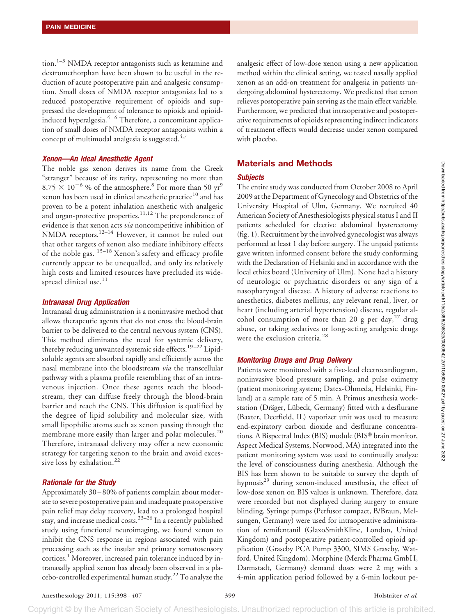tion.<sup>1–3</sup> NMDA receptor antagonists such as ketamine and dextromethorphan have been shown to be useful in the reduction of acute postoperative pain and analgesic consumption. Small doses of NMDA receptor antagonists led to a reduced postoperative requirement of opioids and suppressed the development of tolerance to opioids and opioidinduced hyperalgesia.4–6 Therefore, a concomitant application of small doses of NMDA receptor antagonists within a concept of multimodal analgesia is suggested. $4,7$ 

#### *Xenon—An Ideal Anesthetic Agent*

The noble gas xenon derives its name from the Greek "stranger" because of its rarity, representing no more than  $8.75 \times 10^{-6}$  % of the atmosphere.<sup>8</sup> For more than 50 yr<sup>9</sup> xenon has been used in clinical anesthetic practice<sup>10</sup> and has proven to be a potent inhalation anesthetic with analgesic and organ-protective properties.<sup>11,12</sup> The preponderance of evidence is that xenon acts *via* noncompetitive inhibition of NMDA receptors.12–14 However, it cannot be ruled out that other targets of xenon also mediate inhibitory effects of the noble gas. 15–18 Xenon's safety and efficacy profile currently appear to be unequalled, and only its relatively high costs and limited resources have precluded its widespread clinical use.<sup>11</sup>

#### *Intranasal Drug Application*

Intranasal drug administration is a noninvasive method that allows therapeutic agents that do not cross the blood-brain barrier to be delivered to the central nervous system (CNS). This method eliminates the need for systemic delivery, thereby reducing unwanted systemic side effects.<sup>19-22</sup> Lipidsoluble agents are absorbed rapidly and efficiently across the nasal membrane into the bloodstream *via* the transcellular pathway with a plasma profile resembling that of an intravenous injection. Once these agents reach the bloodstream, they can diffuse freely through the blood-brain barrier and reach the CNS. This diffusion is qualified by the degree of lipid solubility and molecular size, with small lipophilic atoms such as xenon passing through the membrane more easily than larger and polar molecules.<sup>20</sup> Therefore, intranasal delivery may offer a new economic strategy for targeting xenon to the brain and avoid excessive loss by exhalation.<sup>22</sup>

## *Rationale for the Study*

Approximately 30 – 80% of patients complain about moderate to severe postoperative pain and inadequate postoperative pain relief may delay recovery, lead to a prolonged hospital stay, and increase medical costs.<sup>23-26</sup> In a recently published study using functional neuroimaging, we found xenon to inhibit the CNS response in regions associated with pain processing such as the insular and primary somatosensory cortices.<sup>1</sup> Moreover, increased pain tolerance induced by intranasally applied xenon has already been observed in a placebo-controlled experimental human study.22To analyze the analgesic effect of low-dose xenon using a new application method within the clinical setting, we tested nasally applied xenon as an add-on treatment for analgesia in patients undergoing abdominal hysterectomy. We predicted that xenon relieves postoperative pain serving as the main effect variable. Furthermore, we predicted that intraoperative and postoperative requirements of opioids representing indirect indicators of treatment effects would decrease under xenon compared with placebo.

# **Materials and Methods**

#### *Subjects*

The entire study was conducted from October 2008 to April 2009 at the Department of Gynecology and Obstetrics of the University Hospital of Ulm, Germany. We recruited 40 American Society of Anesthesiologists physical status I and II patients scheduled for elective abdominal hysterectomy (fig. 1). Recruitment by the involved gynecologist was always performed at least 1 day before surgery. The unpaid patients gave written informed consent before the study conforming with the Declaration of Helsinki and in accordance with the local ethics board (University of Ulm). None had a history of neurologic or psychiatric disorders or any sign of a nasopharyngeal disease. A history of adverse reactions to anesthetics, diabetes mellitus, any relevant renal, liver, or heart (including arterial hypertension) disease, regular alcohol consumption of more than 20 g per day,  $27$  drug abuse, or taking sedatives or long-acting analgesic drugs were the exclusion criteria.<sup>28</sup>

## *Monitoring Drugs and Drug Delivery*

Patients were monitored with a five-lead electrocardiogram, noninvasive blood pressure sampling, and pulse oximetry (patient monitoring system; Datex-Ohmeda, Helsinki, Finland) at a sample rate of 5 min. A Primus anesthesia workstation (Dräger, Lübeck, Germany) fitted with a desflurane (Baxter, Deerfield, IL) vaporizer unit was used to measure end-expiratory carbon dioxide and desflurane concentrations. A Bispectral Index (BIS) module (BIS® brain monitor, Aspect Medical Systems, Norwood, MA) integrated into the patient monitoring system was used to continually analyze the level of consciousness during anesthesia. Although the BIS has been shown to be suitable to survey the depth of hypnosis<sup>29</sup> during xenon-induced anesthesia, the effect of low-dose xenon on BIS values is unknown. Therefore, data were recorded but not displayed during surgery to ensure blinding. Syringe pumps (Perfusor compact, B/Braun, Melsungen, Germany) were used for intraoperative administration of remifentanil (GlaxoSmithKline, London, United Kingdom) and postoperative patient-controlled opioid application (Graseby PCA Pump 3300, SIMS Graseby, Watford, United Kingdom). Morphine (Merck Pharma GmbH, Darmstadt, Germany) demand doses were 2 mg with a 4-min application period followed by a 6-min lockout pe-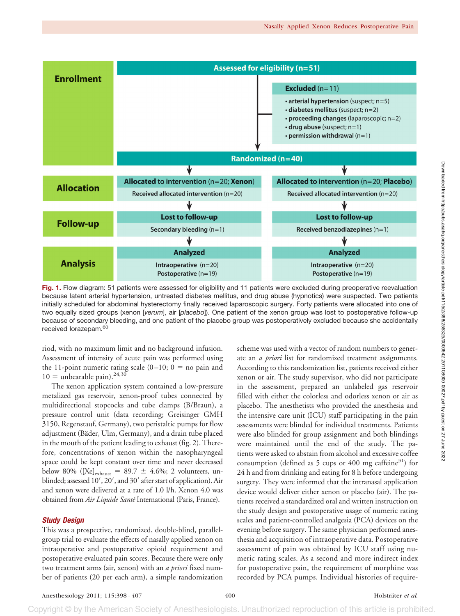

Fig. 1. Flow diagram: 51 patients were assessed for eligibility and 11 patients were excluded during preoperative reevaluation because latent arterial hypertension, untreated diabetes mellitus, and drug abuse (hypnotics) were suspected. Two patients initially scheduled for abdominal hysterectomy finally received laparoscopic surgery. Forty patients were allocated into one of two equally sized groups (xenon [*verum*], air [*placebo*]). One patient of the xenon group was lost to postoperative follow-up because of secondary bleeding, and one patient of the placebo group was postoperatively excluded because she accidentally received lorazepam.<sup>60</sup>

riod, with no maximum limit and no background infusion. Assessment of intensity of acute pain was performed using the 11-point numeric rating scale  $(0-10; 0 =$  no pain and  $10 =$  unbearable pain).<sup>24,30</sup>

The xenon application system contained a low-pressure metalized gas reservoir, xenon-proof tubes connected by multidirectional stopcocks and tube clamps (B/Braun), a pressure control unit (data recording; Greisinger GMH 3150, Regenstauf, Germany), two peristaltic pumps for flow adjustment (Bäder, Ulm, Germany), and a drain tube placed in the mouth of the patient leading to exhaust (fig. 2). Therefore, concentrations of xenon within the nasopharyngeal space could be kept constant over time and never decreased below 80% ([Xe]<sub>exhaust</sub> = 89.7  $\pm$  4.6%; 2 volunteers, unblinded; assessed 10', 20', and 30' after start of application). Air and xenon were delivered at a rate of 1.0 l/h. Xenon 4.0 was obtained from *Air Liquide Sante´* International (Paris, France).

## *Study Design*

This was a prospective, randomized, double-blind, parallelgroup trial to evaluate the effects of nasally applied xenon on intraoperative and postoperative opioid requirement and postoperative evaluated pain scores. Because there were only two treatment arms (air, xenon) with an *a priori* fixed number of patients (20 per each arm), a simple randomization

scheme was used with a vector of random numbers to generate an *a priori* list for randomized treatment assignments. According to this randomization list, patients received either xenon or air. The study supervisor, who did not participate in the assessment, prepared an unlabeled gas reservoir filled with either the colorless and odorless xenon or air as placebo. The anesthetists who provided the anesthesia and the intensive care unit (ICU) staff participating in the pain assessments were blinded for individual treatments. Patients were also blinded for group assignment and both blindings were maintained until the end of the study. The patients were asked to abstain from alcohol and excessive coffee consumption (defined as 5 cups or 400 mg caffeine $31$ ) for 24 h and from drinking and eating for 8 h before undergoing surgery. They were informed that the intranasal application device would deliver either xenon or placebo (air). The patients received a standardized oral and written instruction on the study design and postoperative usage of numeric rating scales and patient-controlled analgesia (PCA) devices on the evening before surgery. The same physician performed anesthesia and acquisition of intraoperative data. Postoperative assessment of pain was obtained by ICU staff using numeric rating scales. As a second and more indirect index for postoperative pain, the requirement of morphine was recorded by PCA pumps. Individual histories of require-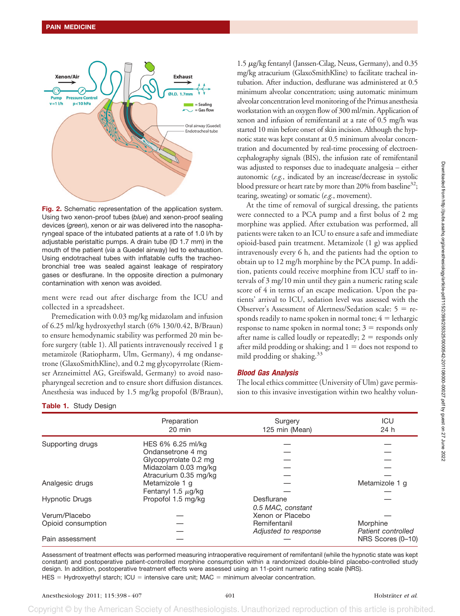

**Fig. 2.** Schematic representation of the application system. Using two xenon-proof tubes (*blue*) and xenon-proof sealing devices (*green*), xenon or air was delivered into the nasopharyngeal space of the intubated patients at a rate of 1.0 l/h by adjustable peristaltic pumps. A drain tube (ID 1.7 mm) in the mouth of the patient (*via* a Guedel airway) led to exhaustion. Using endotracheal tubes with inflatable cuffs the tracheobronchial tree was sealed against leakage of respiratory gases or desflurane. In the opposite direction a pulmonary contamination with xenon was avoided.

ment were read out after discharge from the ICU and collected in a spreadsheet.

Premedication with 0.03 mg/kg midazolam and infusion of 6.25 ml/kg hydroxyethyl starch (6% 130/0.42, B/Braun) to ensure hemodynamic stability was performed 20 min before surgery (table 1). All patients intravenously received 1 g metamizole (Ratiopharm, Ulm, Germany), 4 mg ondansetrone (GlaxoSmithKline), and 0.2 mg glycopyrrolate (Riemser Arzneimittel AG, Greifswald, Germany) to avoid nasopharyngeal secretion and to ensure short diffusion distances. Anesthesia was induced by 1.5 mg/kg propofol (B/Braun),

 $1.5 \mu$ g/kg fentanyl (Janssen-Cilag, Neuss, Germany), and 0.35 mg/kg atracurium (GlaxoSmithKline) to facilitate tracheal intubation. After induction, desflurane was administered at 0.5 minimum alveolar concentration; using automatic minimum alveolar concentration level monitoring of the Primus anesthesia workstation with an oxygen flow of 300 ml/min. Application of xenon and infusion of remifentanil at a rate of 0.5 mg/h was started 10 min before onset of skin incision. Although the hypnotic state was kept constant at 0.5 minimum alveolar concentration and documented by real-time processing of electroencephalography signals (BIS), the infusion rate of remifentanil was adjusted to responses due to inadequate analgesia – either autonomic (*e.g.*, indicated by an increase/decrease in systolic blood pressure or heart rate by more than 20% from baseline<sup>32</sup>; tearing, sweating) or somatic (*e.g.*, movement).

At the time of removal of surgical dressing, the patients were connected to a PCA pump and a first bolus of 2 mg morphine was applied. After extubation was performed, all patients were taken to an ICU to ensure a safe and immediate opioid-based pain treatment. Metamizole (1 g) was applied intravenously every 6 h, and the patients had the option to obtain up to 12 mg/h morphine by the PCA pump. In addition, patients could receive morphine from ICU staff to intervals of 3 mg/10 min until they gain a numeric rating scale score of 4 in terms of an escape medication. Upon the patients' arrival to ICU, sedation level was assessed with the Observer's Assessment of Alertness/Sedation scale:  $5 =$  responds readily to name spoken in normal tone;  $4 =$  lethargic  $response$  to name spoken in normal tone;  $3 =$  responds only after name is called loudly or repeatedly;  $2 =$  responds only after mild prodding or shaking; and  $1 =$  does not respond to mild prodding or shaking.33

## *Blood Gas Analysis*

The local ethics committee (University of Ulm) gave permission to this invasive investigation within two healthy volun-

| <b>Table 1.</b> Study Design |  |  |
|------------------------------|--|--|
|------------------------------|--|--|

|                       | Preparation<br>$20 \text{ min}$ | Surgery<br>125 min (Mean) | ICU<br>24 h        |
|-----------------------|---------------------------------|---------------------------|--------------------|
| Supporting drugs      | HES 6% 6.25 ml/kg               |                           |                    |
|                       | Ondansetrone 4 mg               |                           |                    |
|                       | Glycopyrrolate 0.2 mg           |                           |                    |
|                       | Midazolam 0.03 mg/kg            |                           |                    |
|                       | Atracurium 0.35 mg/kg           |                           |                    |
| Analgesic drugs       | Metamizole 1 q                  |                           | Metamizole 1 g     |
|                       | Fentanyl 1.5 $\mu$ g/kg         |                           |                    |
| <b>Hypnotic Drugs</b> | Propofol 1.5 mg/kg              | Desflurane                |                    |
|                       |                                 | 0.5 MAC, constant         |                    |
| Verum/Placebo         |                                 | Xenon or Placebo          |                    |
| Opioid consumption    |                                 | Remifentanil              | Morphine           |
|                       |                                 | Adjusted to response      | Patient controlled |
| Pain assessment       |                                 |                           | NRS Scores (0-10)  |
|                       |                                 |                           |                    |

Assessment of treatment effects was performed measuring intraoperative requirement of remifentanil (while the hypnotic state was kept constant) and postoperative patient-controlled morphine consumption within a randomized double-blind placebo-controlled study design. In addition, postoperative treatment effects were assessed using an 11-point numeric rating scale (NRS).  $HES = Hydroxyethyl starch; ICU = intensive care unit; MAC = minimum alveolar concentration.$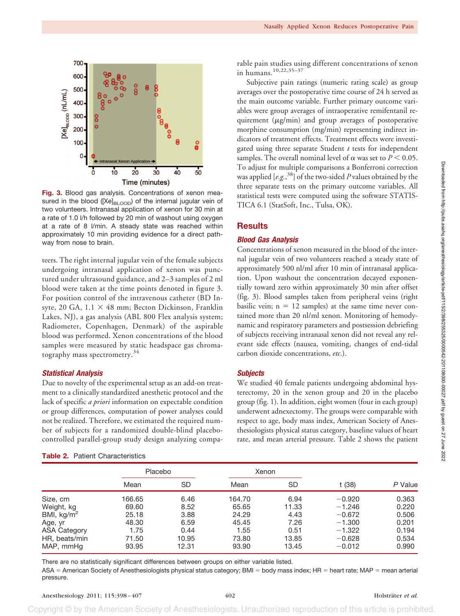

**Fig. 3.** Blood gas analysis. Concentrations of xenon measured in the blood ( $[Xe]_{\text{BLOOD}}$ ) of the internal jugular vein of two volunteers. Intranasal application of xenon for 30 min at a rate of 1.0 l/h followed by 20 min of washout using oxygen at a rate of 8 l/min. A steady state was reached within approximately 10 min providing evidence for a direct pathway from nose to brain.

teers. The right internal jugular vein of the female subjects undergoing intranasal application of xenon was punctured under ultrasound guidance, and 2–3 samples of 2 ml blood were taken at the time points denoted in figure 3. For position control of the intravenous catheter (BD Insyte, 20 GA,  $1.1 \times 48$  mm; Becton Dickinson, Franklin Lakes, NJ), a gas analysis (ABL 800 Flex analysis system; Radiometer, Copenhagen, Denmark) of the aspirable blood was performed. Xenon concentrations of the blood samples were measured by static headspace gas chromatography mass spectrometry.<sup>34</sup>

## *Statistical Analysis*

Due to novelty of the experimental setup as an add-on treatment to a clinically standardized anesthetic protocol and the lack of specific *a priori* information on expectable condition or group differences, computation of power analyses could not be realized. Therefore, we estimated the required number of subjects for a randomized double-blind placebocontrolled parallel-group study design analyzing compa-

| <b>Table 2.</b> Patient Characteristics |
|-----------------------------------------|
|                                         |

rable pain studies using different concentrations of xenon in humans.10,22,35–37

Subjective pain ratings (numeric rating scale) as group averages over the postoperative time course of 24 h served as the main outcome variable. Further primary outcome variables were group averages of intraoperative remifentanil requirement  $(\mu g/min)$  and group averages of postoperative morphine consumption (mg/min) representing indirect indicators of treatment effects. Treatment effects were investigated using three separate Student *t* tests for independent samples. The overall nominal level of  $\alpha$  was set to  $P$  < 0.05. To adjust for multiple comparisons a Bonferroni correction was applied [*e.g.*, 38] of the two-sided *P* values obtained by the three separate tests on the primary outcome variables. All statistical tests were computed using the software STATIS-TICA 6.1 (StatSoft, Inc., Tulsa, OK).

# **Results**

#### *Blood Gas Analysis*

Concentrations of xenon measured in the blood of the internal jugular vein of two volunteers reached a steady state of approximately 500 nl/ml after 10 min of intranasal application. Upon washout the concentration decayed exponentially toward zero within approximately 30 min after offset (fig. 3). Blood samples taken from peripheral veins (right basilic vein;  $n = 12$  samples) at the same time never contained more than 20 nl/ml xenon. Monitoring of hemodynamic and respiratory parameters and postsession debriefing of subjects receiving intranasal xenon did not reveal any relevant side effects (nausea, vomiting, changes of end-tidal carbon dioxide concentrations, *etc*.).

#### *Subjects*

We studied 40 female patients undergoing abdominal hysterectomy, 20 in the xenon group and 20 in the placebo group (fig. 1). In addition, eight women (four in each group) underwent adnexectomy. The groups were comparable with respect to age, body mass index, American Society of Anesthesiologists physical status category, baseline values of heart rate, and mean arterial pressure. Table 2 shows the patient

|                     | Placebo |       | Xenon  |       |          |         |
|---------------------|---------|-------|--------|-------|----------|---------|
|                     | Mean    | SD    | Mean   | SD    | t (38)   | P Value |
| Size, cm            | 166.65  | 6.46  | 164.70 | 6.94  | $-0.920$ | 0.363   |
| Weight, kg          | 69.60   | 8.52  | 65.65  | 11.33 | $-1.246$ | 0.220   |
| BMI, $kg/m2$        | 25.18   | 3.88  | 24.29  | 4.43  | $-0.672$ | 0.506   |
| Age, yr             | 48.30   | 6.59  | 45.45  | 7.26  | $-1.300$ | 0.201   |
| <b>ASA Category</b> | 1.75    | 0.44  | 1.55   | 0.51  | $-1.322$ | 0.194   |
| HR, beats/min       | 71.50   | 10.95 | 73.80  | 13.85 | $-0.628$ | 0.534   |
| MAP, mmHg           | 93.95   | 12.31 | 93.90  | 13.45 | $-0.012$ | 0.990   |

There are no statistically significant differences between groups on either variable listed.

ASA = American Society of Anesthesiologists physical status category; BMI = body mass index; HR = heart rate; MAP = mean arterial pressure.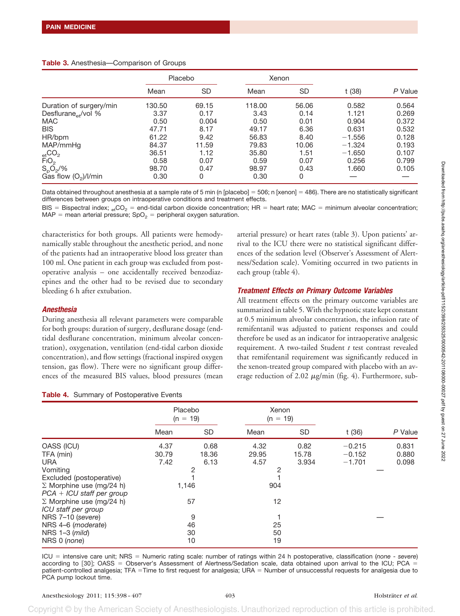|  | Table 3. Anesthesia-Comparison of Groups |  |  |  |
|--|------------------------------------------|--|--|--|
|--|------------------------------------------|--|--|--|

|                                 |        | Placebo | Xenon  |           |          |         |
|---------------------------------|--------|---------|--------|-----------|----------|---------|
|                                 | Mean   | SD      | Mean   | <b>SD</b> | t (38)   | P Value |
| Duration of surgery/min         | 130.50 | 69.15   | 118.00 | 56.06     | 0.582    | 0.564   |
| Desflurane <sub>et</sub> /vol % | 3.37   | 0.17    | 3.43   | 0.14      | 1.121    | 0.269   |
| <b>MAC</b>                      | 0.50   | 0.004   | 0.50   | 0.01      | 0.904    | 0.372   |
| <b>BIS</b>                      | 47.71  | 8.17    | 49.17  | 6.36      | 0.631    | 0.532   |
| HR/bpm                          | 61.22  | 9.42    | 56.83  | 8.40      | $-1.556$ | 0.128   |
| MAP/mmHq                        | 84.37  | 11.59   | 79.83  | 10.06     | $-1.324$ | 0.193   |
| $_{\rm et}CO_2$                 | 36.51  | 1.12    | 35.80  | 1.51      | $-1.650$ | 0.107   |
| $\overline{F}$ IO <sub>2</sub>  | 0.58   | 0.07    | 0.59   | 0.07      | 0.256    | 0.799   |
| $S_pO_2/\%$                     | 98.70  | 0.47    | 98.97  | 0.43      | 1.660    | 0.105   |
| Gas flow $(O_2)/I/m$ in         | 0.30   | 0       | 0.30   | 0         |          |         |

Data obtained throughout anesthesia at a sample rate of 5 min (n [placebo] = 506; n [xenon] = 486). There are no statistically significant differences between groups on intraoperative conditions and treatment effects.

BIS = Bispectral index; <sub>et</sub>CO<sub>2</sub> = end-tidal carbon dioxide concentration; HR = heart rate; MAC = minimum alveolar concentration;  $MAP =$  mean arterial pressure;  $SpO<sub>2</sub> =$  peripheral oxygen saturation.

characteristics for both groups. All patients were hemodynamically stable throughout the anesthetic period, and none of the patients had an intraoperative blood loss greater than 100 ml. One patient in each group was excluded from postoperative analysis – one accidentally received benzodiazepines and the other had to be revised due to secondary bleeding 6 h after extubation.

## *Anesthesia*

During anesthesia all relevant parameters were comparable for both groups: duration of surgery, desflurane dosage (endtidal desflurane concentration, minimum alveolar concentration), oxygenation, ventilation (end-tidal carbon dioxide concentration), and flow settings (fractional inspired oxygen tension, gas flow). There were no significant group differences of the measured BIS values, blood pressures (mean

arterial pressure) or heart rates (table 3). Upon patients' arrival to the ICU there were no statistical significant differences of the sedation level (Observer's Assessment of Alertness/Sedation scale). Vomiting occurred in two patients in each group (table 4).

# *Treatment Effects on Primary Outcome Variables*

All treatment effects on the primary outcome variables are summarized in table 5. With the hypnotic state kept constant at 0.5 minimum alveolar concentration, the infusion rate of remifentanil was adjusted to patient responses and could therefore be used as an indicator for intraoperative analgesic requirement. A two-tailed Student *t* test contrast revealed that remifentanil requirement was significantly reduced in the xenon-treated group compared with placebo with an average reduction of 2.02  $\mu$ g/min (fig. 4). Furthermore, sub-

| $\ddot{\phantom{a}}$     |  |  |
|--------------------------|--|--|
|                          |  |  |
|                          |  |  |
|                          |  |  |
|                          |  |  |
|                          |  |  |
|                          |  |  |
|                          |  |  |
|                          |  |  |
|                          |  |  |
|                          |  |  |
|                          |  |  |
|                          |  |  |
|                          |  |  |
|                          |  |  |
|                          |  |  |
|                          |  |  |
| $\overline{\phantom{a}}$ |  |  |
|                          |  |  |
|                          |  |  |
|                          |  |  |
|                          |  |  |
|                          |  |  |
|                          |  |  |
|                          |  |  |

| Table 4. Summary of Postoperative Events |  |  |
|------------------------------------------|--|--|
|                                          |  |  |

|                                                                | Placebo<br>$(n = 19)$ |           | Xenon<br>$(n = 19)$ |           |          |         |
|----------------------------------------------------------------|-----------------------|-----------|---------------------|-----------|----------|---------|
|                                                                | Mean                  | <b>SD</b> | Mean                | <b>SD</b> | t (36)   | P Value |
| OASS (ICU)                                                     | 4.37                  | 0.68      | 4.32                | 0.82      | $-0.215$ | 0.831   |
| TFA (min)                                                      | 30.79                 | 18.36     | 29.95               | 15.78     | $-0.152$ | 0.880   |
| <b>URA</b>                                                     | 7.42                  | 6.13      | 4.57                | 3.934     | $-1.701$ | 0.098   |
| Vomiting                                                       |                       | 2         | 2                   |           |          |         |
| Excluded (postoperative)                                       |                       |           |                     |           |          |         |
| $\Sigma$ Morphine use (mg/24 h)<br>$PCA + ICU$ staff per group |                       | 1,146     | 904                 |           |          |         |
| $\Sigma$ Morphine use (mg/24 h)<br>ICU staff per group         |                       | 57        | 12                  |           |          |         |
| NRS 7-10 (severe)                                              |                       | 9         |                     |           |          |         |
| NRS 4-6 (moderate)                                             | 46                    |           | 25                  |           |          |         |
| NRS $1-3$ (mild)<br>NRS 0 (none)                               |                       | 30<br>10  | 50<br>19            |           |          |         |

ICU = intensive care unit; NRS = Numeric rating scale: number of ratings within 24 h postoperative, classification (none - severe) according to [30]; OASS = Observer's Assessment of Alertness/Sedation scale, data obtained upon arrival to the ICU; PCA = patient-controlled analgesia; TFA =Time to first request for analgesia; URA = Number of unsuccessful requests for analgesia due to PCA pump lockout time.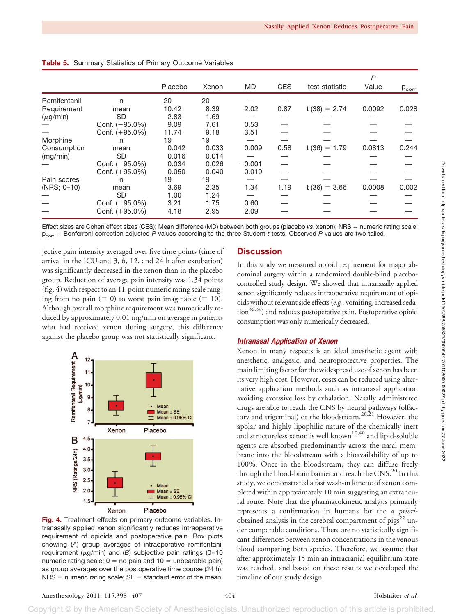|               |                   |         |       |           |            |                   | P      |            |
|---------------|-------------------|---------|-------|-----------|------------|-------------------|--------|------------|
|               |                   | Placebo | Xenon | <b>MD</b> | <b>CES</b> | test statistic    | Value  | $p_{corr}$ |
| Remifentanil  | n                 | 20      | 20    |           |            |                   |        |            |
| Requirement   | mean              | 10.42   | 8.39  | 2.02      | 0.87       | $t(38) = 2.74$    | 0.0092 | 0.028      |
| $(\mu g/min)$ | <b>SD</b>         | 2.83    | 1.69  |           |            |                   |        |            |
|               | Conf. $(-95.0\%)$ | 9.09    | 7.61  | 0.53      |            |                   |        |            |
|               | Conf. (+95.0%)    | 11.74   | 9.18  | 3.51      |            |                   |        |            |
| Morphine      | n                 | 19      | 19    |           |            |                   |        |            |
| Consumption   | mean              | 0.042   | 0.033 | 0.009     | 0.58       | $t(36) =$<br>1.79 | 0.0813 | 0.244      |
| (mg/min)      | <b>SD</b>         | 0.016   | 0.014 |           |            |                   |        |            |
|               | Conf. (-95.0%)    | 0.034   | 0.026 | $-0.001$  |            |                   |        |            |
|               | Conf. (+95.0%)    | 0.050   | 0.040 | 0.019     |            |                   |        |            |
| Pain scores   | n                 | 19      | 19    |           |            |                   |        |            |
| (NRS: 0-10)   | mean              | 3.69    | 2.35  | 1.34      | 1.19       | $t(36) = 3.66$    | 0.0008 | 0.002      |
|               | <b>SD</b>         | 1.00    | 1.24  |           |            |                   |        |            |
|               | Conf. $(-95.0\%)$ | 3.21    | 1.75  | 0.60      |            |                   |        |            |
|               | Conf. (+95.0%)    | 4.18    | 2.95  | 2.09      |            |                   |        |            |

**Table 5.** Summary Statistics of Primary Outcome Variables

Effect sizes are Cohen effect sizes (CES); Mean difference (MD) between both groups (placebo *vs*. xenon); NRS = numeric rating scale;  $p_{\text{corr}}$  = Bonferroni correction adjusted P values according to the three Student *t* tests. Observed P values are two-tailed.

jective pain intensity averaged over five time points (time of arrival in the ICU and 3, 6, 12, and 24 h after extubation) was significantly decreased in the xenon than in the placebo group. Reduction of average pain intensity was 1.34 points (fig. 4) with respect to an 11-point numeric rating scale ranging from no pain  $(= 0)$  to worst pain imaginable  $(= 10)$ . Although overall morphine requirement was numerically reduced by approximately 0.01 mg/min on average in patients who had received xenon during surgery, this difference against the placebo group was not statistically significant.



**Fig. 4.** Treatment effects on primary outcome variables. Intranasally applied xenon significantly reduces intraoperative requirement of opioids and postoperative pain. Box plots showing (*A*) group averages of intraoperative remifentanil requirement ( $\mu$ g/min) and (B) subjective pain ratings (0-10 numeric rating scale;  $0 =$  no pain and 10  $=$  unbearable pain) as group averages over the postoperative time course (24 h).  $NRS =$  numeric rating scale;  $SE =$  standard error of the mean.

# **Discussion**

In this study we measured opioid requirement for major abdominal surgery within a randomized double-blind placebocontrolled study design. We showed that intranasally applied xenon significantly reduces intraoperative requirement of opioids without relevant side effects (*e.g.*, vomiting, increased sedation<sup>36,39</sup>) and reduces postoperative pain. Postoperative opioid consumption was only numerically decreased.

#### *Intranasal Application of Xenon*

Xenon in many respects is an ideal anesthetic agent with anesthetic, analgesic, and neuroprotective properties. The main limiting factor for the widespread use of xenon has been its very high cost. However, costs can be reduced using alternative application methods such as intranasal application avoiding excessive loss by exhalation. Nasally administered drugs are able to reach the CNS by neural pathways (olfactory and trigeminal) or the bloodstream.20,21 However, the apolar and highly lipophilic nature of the chemically inert and structureless xenon is well known<sup>10,40</sup> and lipid-soluble agents are absorbed predominantly across the nasal membrane into the bloodstream with a bioavailability of up to 100%. Once in the bloodstream, they can diffuse freely through the blood-brain barrier and reach the CNS.<sup>20</sup> In this study, we demonstrated a fast wash-in kinetic of xenon completed within approximately 10 min suggesting an extraneural route. Note that the pharmacokinetic analysis primarily represents a confirmation in humans for the *a priori*obtained analysis in the cerebral compartment of  $pigs^{22}$  under comparable conditions. There are no statistically significant differences between xenon concentrations in the venous blood comparing both species. Therefore, we assume that after approximately 15 min an intracranial equilibrium state was reached, and based on these results we developed the timeline of our study design.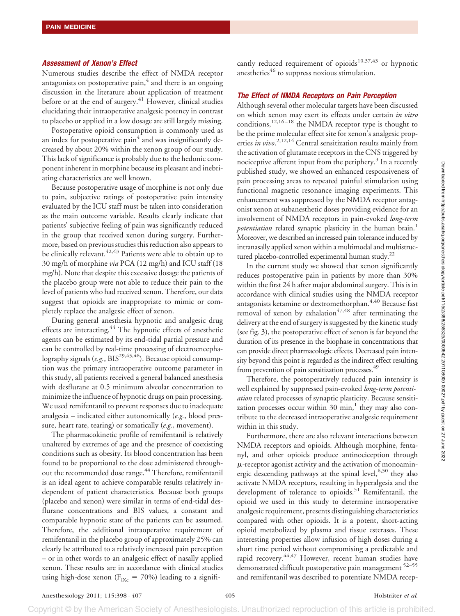#### *Assessment of Xenon's Effect*

Numerous studies describe the effect of NMDA receptor antagonists on postoperative pain, $<sup>4</sup>$  and there is an ongoing</sup> discussion in the literature about application of treatment before or at the end of surgery.<sup>41</sup> However, clinical studies elucidating their intraoperative analgesic potency in contrast to placebo or applied in a low dosage are still largely missing.

Postoperative opioid consumption is commonly used as an index for postoperative pain $4$  and was insignificantly decreased by about 20% within the xenon group of our study. This lack of significance is probably due to the hedonic component inherent in morphine because its pleasant and inebriating characteristics are well known.

Because postoperative usage of morphine is not only due to pain, subjective ratings of postoperative pain intensity evaluated by the ICU staff must be taken into consideration as the main outcome variable. Results clearly indicate that patients' subjective feeling of pain was significantly reduced in the group that received xenon during surgery. Furthermore, based on previous studies this reduction also appears to be clinically relevant.<sup>42,43</sup> Patients were able to obtain up to 30 mg/h of morphine *via* PCA (12 mg/h) and ICU staff (18 mg/h). Note that despite this excessive dosage the patients of the placebo group were not able to reduce their pain to the level of patients who had received xenon. Therefore, our data suggest that opioids are inappropriate to mimic or completely replace the analgesic effect of xenon.

During general anesthesia hypnotic and analgesic drug effects are interacting.<sup>44</sup> The hypnotic effects of anesthetic agents can be estimated by its end-tidal partial pressure and can be controlled by real-time processing of electroencephalography signals (*e.g.*, BIS<sup>29,45,46</sup>). Because opioid consumption was the primary intraoperative outcome parameter in this study, all patients received a general balanced anesthesia with desflurane at 0.5 minimum alveolar concentration to minimize the influence of hypnotic drugs on pain processing. We used remifentanil to prevent responses due to inadequate analgesia – indicated either autonomically (*e.g.*, blood pressure, heart rate, tearing) or somatically (*e.g.*, movement).

The pharmacokinetic profile of remifentanil is relatively unaltered by extremes of age and the presence of coexisting conditions such as obesity. Its blood concentration has been found to be proportional to the dose administered throughout the recommended dose range.<sup>44</sup> Therefore, remifentanil is an ideal agent to achieve comparable results relatively independent of patient characteristics. Because both groups (placebo and xenon) were similar in terms of end-tidal desflurane concentrations and BIS values, a constant and comparable hypnotic state of the patients can be assumed. Therefore, the additional intraoperative requirement of remifentanil in the placebo group of approximately 25% can clearly be attributed to a relatively increased pain perception – or in other words to an analgesic effect of nasally applied xenon. These results are in accordance with clinical studies using high-dose xenon ( $F_{iXe} = 70\%$ ) leading to a significantly reduced requirement of opioids<sup>10,37,43</sup> or hypnotic anesthetics<sup>46</sup> to suppress noxious stimulation.

## *The Effect of NMDA Receptors on Pain Perception*

Although several other molecular targets have been discussed on which xenon may exert its effects under certain *in vitro* conditions, $12,16-18$  the NMDA receptor type is thought to be the prime molecular effect site for xenon's analgesic properties *in vivo*. 2,12,14 Central sensitization results mainly from the activation of glutamate receptors in the CNS triggered by nociceptive afferent input from the periphery.<sup>3</sup> In a recently published study, we showed an enhanced responsiveness of pain processing areas to repeated painful stimulation using functional magnetic resonance imaging experiments. This enhancement was suppressed by the NMDA receptor antagonist xenon at subanesthetic doses providing evidence for an involvement of NMDA receptors in pain-evoked *long-term potentiation* related synaptic plasticity in the human brain.<sup>1</sup> Moreover, we described an increased pain tolerance induced by intranasally applied xenon within a multimodal and multistructured placebo-controlled experimental human study. $^{22}$ 

In the current study we showed that xenon significantly reduces postoperative pain in patients by more than 30% within the first 24 h after major abdominal surgery. This is in accordance with clinical studies using the NMDA receptor antagonists ketamine or dextromethorphan.<sup>4,40</sup> Because fast removal of xenon by exhalation $47,48$  after terminating the delivery at the end of surgery is suggested by the kinetic study (see fig. 3), the postoperative effect of xenon is far beyond the duration of its presence in the biophase in concentrations that can provide direct pharmacologic effects. Decreased pain intensity beyond this point is regarded as the indirect effect resulting from prevention of pain sensitization processes.<sup>49</sup>

Therefore, the postoperatively reduced pain intensity is well explained by suppressed pain-evoked *long-term potentiation* related processes of synaptic plasticity. Because sensitization processes occur within  $30 \text{ min}$ ,<sup>1</sup> they may also contribute to the decreased intraoperative analgesic requirement within in this study.

Furthermore, there are also relevant interactions between NMDA receptors and opioids. Although morphine, fentanyl, and other opioids produce antinociception through  $\mu$ -receptor agonist activity and the activation of monoaminergic descending pathways at the spinal level,  $6,50$  they also activate NMDA receptors, resulting in hyperalgesia and the development of tolerance to opioids.<sup>51</sup> Remifentanil, the opioid we used in this study to determine intraoperative analgesic requirement, presents distinguishing characteristics compared with other opioids. It is a potent, short-acting opioid metabolized by plasma and tissue esterases. These interesting properties allow infusion of high doses during a short time period without compromising a predictable and rapid recovery.44,47 However, recent human studies have demonstrated difficult postoperative pain management <sup>52–55</sup> and remifentanil was described to potentiate NMDA recep-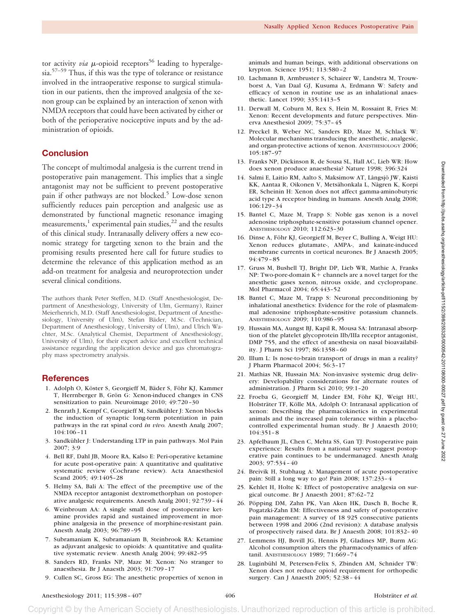tor activity *via*  $\mu$ -opioid receptors<sup>56</sup> leading to hyperalgesia.57–59 Thus, if this was the type of tolerance or resistance involved in the intraoperative response to surgical stimulation in our patients, then the improved analgesia of the xenon group can be explained by an interaction of xenon with NMDA receptors that could have been activated by either or both of the perioperative nociceptive inputs and by the administration of opioids.

# **Conclusion**

The concept of multimodal analgesia is the current trend in postoperative pain management. This implies that a single antagonist may not be sufficient to prevent postoperative pain if other pathways are not blocked.<sup>5</sup> Low-dose xenon sufficiently reduces pain perception and analgesic use as demonstrated by functional magnetic resonance imaging measurements,<sup>1</sup> experimental pain studies,<sup>22</sup> and the results of this clinical study. Intranasally delivery offers a new economic strategy for targeting xenon to the brain and the promising results presented here call for future studies to determine the relevance of this application method as an add-on treatment for analgesia and neuroprotection under several clinical conditions.

The authors thank Peter Steffen, M.D. (Staff Anesthesiologist, Department of Anesthesiology, University of Ulm, Germany), Rainer Meierhenrich, M.D. (Staff Anesthesiologist, Department of Anesthesiology, University of Ulm), Stefan Bäder, M.Sc. (Technician, Department of Anesthesiology, University of Ulm), and Ulrich Wachter, M.Sc. (Analytical Chemist, Department of Anesthesiology, University of Ulm), for their expert advice and excellent technical assistance regarding the application device and gas chromatography mass spectrometry analysis.

# **References**

- 1. Adolph O, Köster S, Georgieff M, Bäder S, Föhr KJ, Kammer T, Herrnberger B, Grön G: Xenon-induced changes in CNS sensitization to pain. Neuroimage 2010; 49:720 –30
- 2. Benrath J, Kempf C, Georgieff M, Sandkühler J: Xenon blocks the induction of synaptic long-term potentiation in pain pathways in the rat spinal cord *in vivo.* Anesth Analg 2007; 104:106 –11
- 3. Sandkühler J: Understanding LTP in pain pathways. Mol Pain 2007; 3:9
- 4. Bell RF, Dahl JB, Moore RA, Kalso E: Peri-operative ketamine for acute post-operative pain: A quantitative and qualitative systematic review (Cochrane review). Acta Anaesthesiol Scand 2005; 49:1405–28
- 5. Helmy SA, Bali A: The effect of the preemptive use of the NMDA receptor antagonist dextromethorphan on postoperative analgesic requirements. Anesth Analg 2001; 92:739 – 44
- 6. Weinbroum AA: A single small dose of postoperative ketamine provides rapid and sustained improvement in morphine analgesia in the presence of morphine-resistant pain. Anesth Analg 2003; 96:789 –95
- 7. Subramaniam K, Subramaniam B, Steinbrook RA: Ketamine as adjuvant analgesic to opioids: A quantitative and qualitative systematic review. Anesth Analg 2004; 99:482–95
- 8. Sanders RD, Franks NP, Maze M: Xenon: No stranger to anaesthesia. Br J Anaesth 2003; 91:709 –17
- 9. Cullen SC, Gross EG: The anesthetic properties of xenon in

animals and human beings, with additional observations on krypton. Science 1951; 113:580 –2

- 10. Lachmann B, Armbruster S, Schairer W, Landstra M, Trouwborst A, Van Daal GJ, Kusuma A, Erdmann W: Safety and efficacy of xenon in routine use as an inhalational anaesthetic. Lancet 1990; 335:1413–5
- 11. Derwall M, Coburn M, Rex S, Hein M, Rossaint R, Fries M: Xenon: Recent developments and future perspectives. Minerva Anesthesiol 2009; 75:37– 45
- 12. Preckel B, Weber NC, Sanders RD, Maze M, Schlack W: Molecular mechanisms transducing the anesthetic, analgesic, and organ-protective actions of xenon. ANESTHESIOLOGY 2006; 105:187–97
- 13. Franks NP, Dickinson R, de Sousa SL, Hall AC, Lieb WR: How does xenon produce anaesthesia? Nature 1998; 396:324
- 14. Salmi E, Laitio RM, Aalto S, Maksimow AT, Långsjö JW, Kaisti KK, Aantaa R, Oikonen V, Metsähonkala L, Någren K, Korpi ER, Scheinin H: Xenon does not affect gamma-aminobutyric acid type A receptor binding in humans. Anesth Analg 2008; 106:129 –34
- 15. Bantel C, Maze M, Trapp S: Noble gas xenon is a novel adenosine triphosphate-sensitive potassium channel opener. ANESTHESIOLOGY 2010; 112:623–30
- 16. Dinse A, Föhr KJ, Georgieff M, Beyer C, Bulling A, Weigt HU: Xenon reduces glutamate-, AMPA-, and kainate-induced membrane currents in cortical neurones. Br J Anaesth 2005; 94:479 – 85
- 17. Gruss M, Bushell TJ, Bright DP, Lieb WR, Mathie A, Franks NP: Two-pore-domain  $K+$  channels are a novel target for the anesthetic gases xenon, nitrous oxide, and cyclopropane. Mol Pharmacol 2004; 65:443–52
- 18. Bantel C, Maze M, Trapp S: Neuronal preconditioning by inhalational anesthetics: Evidence for the role of plasmalemmal adenosine triphosphate-sensitive potassium channels. ANESTHESIOLOGY 2009; 110:986 –95
- 19. Hussain MA, Aungst BJ, Kapil R, Mousa SA: Intranasal absorption of the platelet glycoprotein IIb/IIIa receptor antagonist, DMP 755, and the effect of anesthesia on nasal bioavailability. J Pharm Sci 1997; 86:1358 – 60
- 20. Illum L: Is nose-to-brain transport of drugs in man a reality? J Pharm Pharmacol 2004; 56:3–17
- 21. Mathias NR, Hussain MA: Non-invasive systemic drug delivery: Developability considerations for alternate routes of administration. J Pharm Sci 2010; 99:1–20
- 22. Froeba G, Georgieff M, Linder EM, Föhr KJ, Weigt HU, Holsträter TF, Kölle MA, Adolph O: Intranasal application of xenon: Describing the pharmacokinetics in experimental animals and the increased pain tolerance within a placebocontrolled experimental human study. Br J Anaesth 2010; 104:351– 8
- 23. Apfelbaum JL, Chen C, Mehta SS, Gan TJ: Postoperative pain experience: Results from a national survey suggest postoperative pain continues to be undermanaged. Anesth Analg 2003; 97:534 – 40
- 24. Breivik H, Stubhaug A: Management of acute postoperative pain: Still a long way to go! Pain 2008; 137:233– 4
- 25. Kehlet H, Holte K: Effect of postoperative analgesia on surgical outcome. Br J Anaesth 2001; 87:62–72
- 26. Pöpping DM, Zahn PK, Van Aken HK, Dasch B, Boche R, Pogatzki-Zahn EM: Effectiveness and safety of postoperative pain management: A survey of 18 925 consecutive patients between 1998 and 2006 (2nd revision): A database analysis of prospectively raised data. Br J Anaesth 2008; 101:832– 40
- 27. Lemmens HJ, Bovill JG, Hennis PJ, Gladines MP, Burm AG: Alcohol consumption alters the pharmacodynamics of alfentanil. ANESTHESIOLOGY 1989; 71:669 –74
- 28. Luginbühl M, Petersen-Felix S, Zbinden AM, Schnider TW: Xenon does not reduce opioid requirement for orthopedic surgery. Can J Anaesth 2005; 52:38 – 44